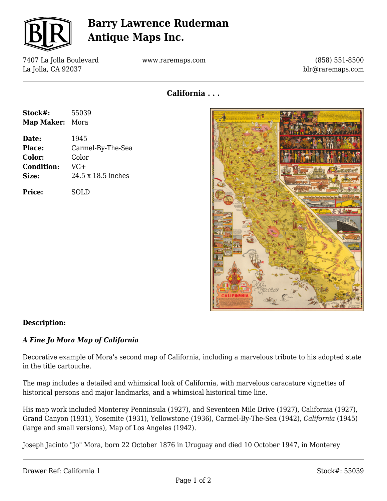

# **Barry Lawrence Ruderman Antique Maps Inc.**

7407 La Jolla Boulevard La Jolla, CA 92037

www.raremaps.com

(858) 551-8500 blr@raremaps.com

**California . . .**

| Stock#:    | 55039 |
|------------|-------|
| Map Maker: | Mora  |

**Date:** 1945 **Place:** Carmel-By-The-Sea **Color:** Color **Condition:** VG+ **Size:** 24.5 x 18.5 inches

**Price:** SOLD



#### **Description:**

### *A Fine Jo Mora Map of California*

Decorative example of Mora's second map of California, including a marvelous tribute to his adopted state in the title cartouche.

The map includes a detailed and whimsical look of California, with marvelous caracature vignettes of historical persons and major landmarks, and a whimsical historical time line.

His map work included Monterey Penninsula (1927), and Seventeen Mile Drive (1927), California (1927), Grand Canyon (1931), Yosemite (1931), Yellowstone (1936), Carmel-By-The-Sea (1942), *California* (1945) (large and small versions), Map of Los Angeles (1942).

Joseph Jacinto "Jo" Mora, born 22 October 1876 in Uruguay and died 10 October 1947, in Monterey